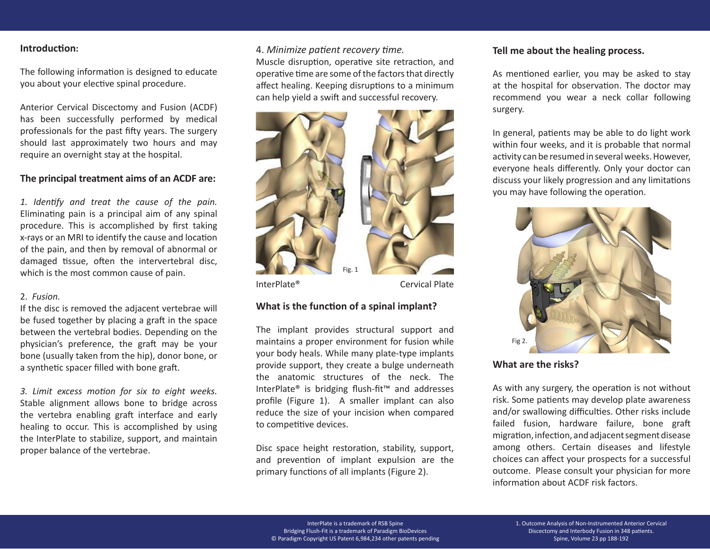## *Introduction:*

The following information is designed to educate vou about your elective spinal procedure.

Anterior Cervical Discectomy and Fusion (ACDF) has been successfully performed by medical professionals for the past fifty years. The surgery should last approximately two hours and may require an overnight stay at the hospital.

## The principal treatment aims of an ACDF are:

*1. Identify and treat the cause of the pain.* Eliminating pain is a principal aim of any spinal procedure. This is accomplished by first taking x-rays or an MRI to identify the cause and location of the pain, and then by removal of abnormal or damaged tissue, often the intervertebral disc, which is the most common cause of pain.

#### 2. Fusion.

If the disc is removed the adjacent vertebrae will be fused together by placing a graft in the space between the vertebral bodies. Depending on the physician's preference, the graft may be your bone (usually taken from the hip), donor bone, or a synthetic spacer filled with bone graft.

3. Limit excess motion for six to eight weeks. Stable alignment allows bone to bridge across the vertebra enabling graft interface and early healing to occur. This is accomplished by using the InterPlate to stabilize, support, and maintain proper balance of the vertebrae.

#### 4. Minimize patient recovery time.

Muscle disruption, operative site retraction, and operative time are some of the factors that directly affect healing. Keeping disruptions to a minimum can help yield a swift and successful recovery.



InterPlate® Cervical Plate

## **What is the function of a spinal implant?**

The implant provides structural support and maintains a proper environment for fusion while your body heals. While many plate-type implants provide support, they create a bulge underneath the anatomic structures of the neck. The InterPlate<sup>®</sup> is bridging flush-fit™ and addresses profile (Figure 1). A smaller implant can also reduce the size of your incision when compared to competitive devices.

Disc space height restoration, stability, support, and prevention of implant expulsion are the primary functions of all implants (Figure 2).

## Tell me about the healing process.

As mentioned earlier, you may be asked to stay at the hospital for observation. The doctor may recommend you wear a neck collar following surgery.

In general, patients may be able to do light work within four weeks, and it is probable that normal activity can be resumed in several weeks. However, everyone heals differently. Only your doctor can discuss your likely progression and any limitations you may have following the operation.



**What are the risks?** 

As with any surgery, the operation is not without risk. Some patients may develop plate awareness and/or swallowing difficulties. Other risks include failed fusion, hardware failure, bone graft migration, infection, and adjacent segment disease among others. Certain diseases and lifestyle choices can affect your prospects for a successful outcome. Please consult your physician for more information about ACDF risk factors.